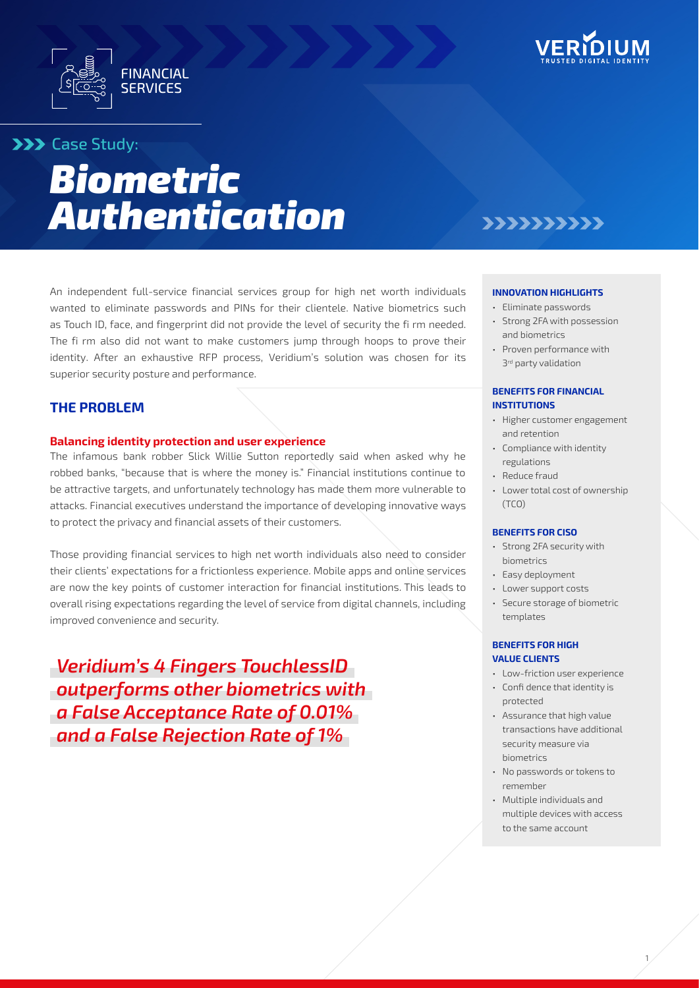



# **XXX** Case Study:

# *Biometric Authentication*

An independent full-service financial services group for high net worth individuals wanted to eliminate passwords and PINs for their clientele. Native biometrics such as Touch ID, face, and fingerprint did not provide the level of security the fi rm needed. The fi rm also did not want to make customers jump through hoops to prove their identity. After an exhaustive RFP process, Veridium's solution was chosen for its superior security posture and performance.

### **THE PROBLEM**

#### **Balancing identity protection and user experience**

The infamous bank robber Slick Willie Sutton reportedly said when asked why he robbed banks, "because that is where the money is." Financial institutions continue to be attractive targets, and unfortunately technology has made them more vulnerable to attacks. Financial executives understand the importance of developing innovative ways to protect the privacy and financial assets of their customers.

Those providing financial services to high net worth individuals also need to consider their clients' expectations for a frictionless experience. Mobile apps and online services are now the key points of customer interaction for financial institutions. This leads to overall rising expectations regarding the level of service from digital channels, including improved convenience and security.

*Veridium's 4 Fingers TouchlessID outperforms other biometrics with a False Acceptance Rate of 0.01% and a False Rejection Rate of 1%*

# 222222222

#### **INNOVATION HIGHLIGHTS**

- Eliminate passwords
- Strong 2FA with possession and biometrics
- Proven performance with 3<sup>rd</sup> party validation

#### **BENEFITS FOR FINANCIAL INSTITUTIONS**

- Higher customer engagement and retention
- Compliance with identity regulations
- Reduce fraud
- Lower total cost of ownership (TCO)

#### **BENEFITS FOR CISO**

- Strong 2FA security with biometrics
- Easy deployment
- Lower support costs
- Secure storage of biometric templates

#### **BENEFITS FOR HIGH VALUE CLIENTS**

- Low-friction user experience
- Confi dence that identity is protected
- Assurance that high value transactions have additional security measure via biometrics
- No passwords or tokens to remember
- Multiple individuals and multiple devices with access to the same account

1